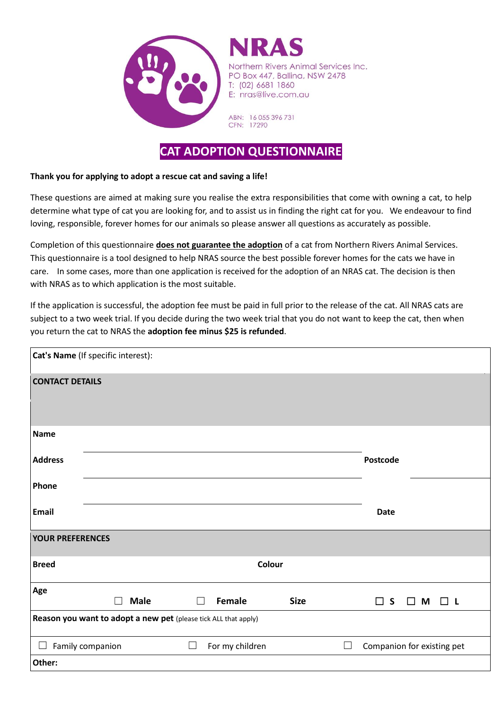

nern Rivers Animal Services Inc. PO Box 447, Ballina, NSW 2478 T: (02) 6681 1860 E: nras@live.com.au

ABN: 16 055 396 731 CFN: 17290

## **CAT ADOPTION QUESTIONNAIRE**

## **Thank you for applying to adopt a rescue cat and saving a life!**

These questions are aimed at making sure you realise the extra responsibilities that come with owning a cat, to help determine what type of cat you are looking for, and to assist us in finding the right cat for you. We endeavour to find loving, responsible, forever homes for our animals so please answer all questions as accurately as possible.

Completion of this questionnaire **does not guarantee the adoption** of a cat from Northern Rivers Animal Services. This questionnaire is a tool designed to help NRAS source the best possible forever homes for the cats we have in care. In some cases, more than one application is received for the adoption of an NRAS cat. The decision is then with NRAS as to which application is the most suitable.

If the application is successful, the adoption fee must be paid in full prior to the release of the cat. All NRAS cats are subject to a two week trial. If you decide during the two week trial that you do not want to keep the cat, then when you return the cat to NRAS the **adoption fee minus \$25 is refunded**.

| Cat's Name (If specific interest):                              |                       |                           |             |                 |                            |  |  |  |  |
|-----------------------------------------------------------------|-----------------------|---------------------------|-------------|-----------------|----------------------------|--|--|--|--|
| <b>CONTACT DETAILS</b>                                          |                       |                           |             |                 |                            |  |  |  |  |
| <b>Name</b>                                                     |                       |                           |             |                 |                            |  |  |  |  |
| <b>Address</b>                                                  |                       |                           |             | <b>Postcode</b> |                            |  |  |  |  |
| Phone                                                           |                       |                           |             |                 |                            |  |  |  |  |
| Email                                                           |                       |                           |             | <b>Date</b>     |                            |  |  |  |  |
| <b>YOUR PREFERENCES</b>                                         |                       |                           |             |                 |                            |  |  |  |  |
| <b>Breed</b>                                                    |                       |                           |             |                 |                            |  |  |  |  |
| Age                                                             | <b>Male</b><br>$\Box$ | Female<br>$\mathbf{L}$    | <b>Size</b> | $\Box$ s        | $\Box$ M $\Box$ L          |  |  |  |  |
| Reason you want to adopt a new pet (please tick ALL that apply) |                       |                           |             |                 |                            |  |  |  |  |
|                                                                 | Family companion      | $\Box$<br>For my children |             |                 | Companion for existing pet |  |  |  |  |
| Other:                                                          |                       |                           |             |                 |                            |  |  |  |  |